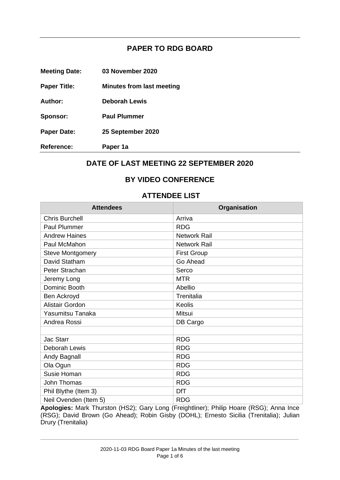## **PAPER TO RDG BOARD**

| <b>Meeting Date:</b> | 03 November 2020 |
|----------------------|------------------|
|----------------------|------------------|

- **Paper Title: Minutes from last meeting**
- **Author: Deborah Lewis**
- **Sponsor: Paul Plummer**
- **Paper Date: 25 September 2020**
- **Reference: Paper 1a**

### **DATE OF LAST MEETING 22 SEPTEMBER 2020**

### **BY VIDEO CONFERENCE**

#### **ATTENDEE LIST**

| <b>Attendees</b>        | Organisation        |
|-------------------------|---------------------|
| <b>Chris Burchell</b>   | Arriva              |
| <b>Paul Plummer</b>     | <b>RDG</b>          |
| <b>Andrew Haines</b>    | <b>Network Rail</b> |
| Paul McMahon            | <b>Network Rail</b> |
| <b>Steve Montgomery</b> | <b>First Group</b>  |
| David Statham           | Go Ahead            |
| Peter Strachan          | Serco               |
| Jeremy Long             | <b>MTR</b>          |
| Dominic Booth           | Abellio             |
| Ben Ackroyd             | Trenitalia          |
| Alistair Gordon         | Keolis              |
| Yasumitsu Tanaka        | Mitsui              |
| Andrea Rossi            | DB Cargo            |
|                         |                     |
| <b>Jac Starr</b>        | <b>RDG</b>          |
| Deborah Lewis           | <b>RDG</b>          |
| Andy Bagnall            | <b>RDG</b>          |
| Ola Ogun                | <b>RDG</b>          |
| Susie Homan             | <b>RDG</b>          |
| John Thomas             | <b>RDG</b>          |
| Phil Blythe (Item 3)    | <b>DfT</b>          |
| Neil Ovenden (Item 5)   | <b>RDG</b>          |

**Apologies:** Mark Thurston (HS2); Gary Long (Freightliner); Philip Hoare (RSG); Anna Ince (RSG); David Brown (Go Ahead); Robin Gisby (DOHL); Ernesto Sicilia (Trenitalia); Julian Drury (Trenitalia)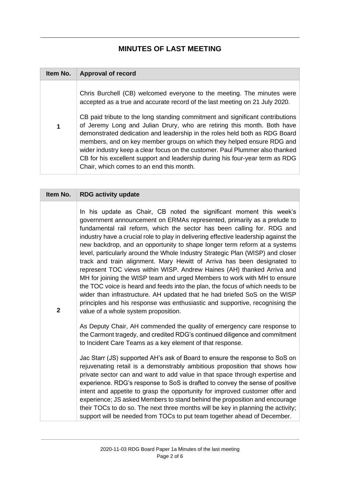# **MINUTES OF LAST MEETING**

| Item No. | <b>Approval of record</b>                                                                                                                                                                                                                                                                                                                                                                                                                                                                                                                                                                                                                                                            |
|----------|--------------------------------------------------------------------------------------------------------------------------------------------------------------------------------------------------------------------------------------------------------------------------------------------------------------------------------------------------------------------------------------------------------------------------------------------------------------------------------------------------------------------------------------------------------------------------------------------------------------------------------------------------------------------------------------|
| 1        | Chris Burchell (CB) welcomed everyone to the meeting. The minutes were<br>accepted as a true and accurate record of the last meeting on 21 July 2020.<br>CB paid tribute to the long standing commitment and significant contributions<br>of Jeremy Long and Julian Drury, who are retiring this month. Both have<br>demonstrated dedication and leadership in the roles held both as RDG Board<br>members, and on key member groups on which they helped ensure RDG and<br>wider industry keep a clear focus on the customer. Paul Plummer also thanked<br>CB for his excellent support and leadership during his four-year term as RDG<br>Chair, which comes to an end this month. |

| Item No.       | <b>RDG activity update</b>                                                                                                                                                                                                                                                                                                                                                                                                                                                                                                                                                                                                                                                                                                                                                                                                                                                                                                                                                                              |
|----------------|---------------------------------------------------------------------------------------------------------------------------------------------------------------------------------------------------------------------------------------------------------------------------------------------------------------------------------------------------------------------------------------------------------------------------------------------------------------------------------------------------------------------------------------------------------------------------------------------------------------------------------------------------------------------------------------------------------------------------------------------------------------------------------------------------------------------------------------------------------------------------------------------------------------------------------------------------------------------------------------------------------|
| $\overline{2}$ | In his update as Chair, CB noted the significant moment this week's<br>government announcement on ERMAs represented, primarily as a prelude to<br>fundamental rail reform, which the sector has been calling for. RDG and<br>industry have a crucial role to play in delivering effective leadership against the<br>new backdrop, and an opportunity to shape longer term reform at a systems<br>level, particularly around the Whole Industry Strategic Plan (WISP) and closer<br>track and train alignment. Mary Hewitt of Arriva has been designated to<br>represent TOC views within WISP. Andrew Haines (AH) thanked Arriva and<br>MH for joining the WISP team and urged Members to work with MH to ensure<br>the TOC voice is heard and feeds into the plan, the focus of which needs to be<br>wider than infrastructure. AH updated that he had briefed SoS on the WISP<br>principles and his response was enthusiastic and supportive, recognising the<br>value of a whole system proposition. |
|                | As Deputy Chair, AH commended the quality of emergency care response to<br>the Carmont tragedy, and credited RDG's continued diligence and commitment<br>to Incident Care Teams as a key element of that response.                                                                                                                                                                                                                                                                                                                                                                                                                                                                                                                                                                                                                                                                                                                                                                                      |
|                | Jac Starr (JS) supported AH's ask of Board to ensure the response to SoS on<br>rejuvenating retail is a demonstrably ambitious proposition that shows how<br>private sector can and want to add value in that space through expertise and<br>experience. RDG's response to SoS is drafted to convey the sense of positive<br>intent and appetite to grasp the opportunity for improved customer offer and<br>experience; JS asked Members to stand behind the proposition and encourage<br>their TOCs to do so. The next three months will be key in planning the activity;<br>support will be needed from TOCs to put team together ahead of December.                                                                                                                                                                                                                                                                                                                                                 |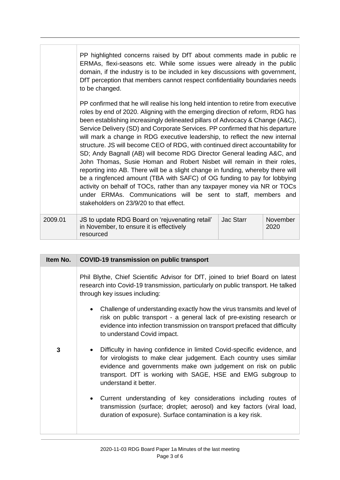|         | PP highlighted concerns raised by DfT about comments made in public re<br>ERMAs, flexi-seasons etc. While some issues were already in the public<br>domain, if the industry is to be included in key discussions with government,<br>DfT perception that members cannot respect confidentiality boundaries needs<br>to be changed.                                                                                                                                                                                                                                                                                                                                                                                                                                                                                                                                                                                                                                                                                   |           |                  |
|---------|----------------------------------------------------------------------------------------------------------------------------------------------------------------------------------------------------------------------------------------------------------------------------------------------------------------------------------------------------------------------------------------------------------------------------------------------------------------------------------------------------------------------------------------------------------------------------------------------------------------------------------------------------------------------------------------------------------------------------------------------------------------------------------------------------------------------------------------------------------------------------------------------------------------------------------------------------------------------------------------------------------------------|-----------|------------------|
|         | PP confirmed that he will realise his long held intention to retire from executive<br>roles by end of 2020. Aligning with the emerging direction of reform, RDG has<br>been establishing increasingly delineated pillars of Advocacy & Change (A&C),<br>Service Delivery (SD) and Corporate Services. PP confirmed that his departure<br>will mark a change in RDG executive leadership, to reflect the new internal<br>structure. JS will become CEO of RDG, with continued direct accountability for<br>SD; Andy Bagnall (AB) will become RDG Director General leading A&C, and<br>John Thomas, Susie Homan and Robert Nisbet will remain in their roles,<br>reporting into AB. There will be a slight change in funding, whereby there will<br>be a ringfenced amount (TBA with SAFC) of OG funding to pay for lobbying<br>activity on behalf of TOCs, rather than any taxpayer money via NR or TOCs<br>under ERMAs. Communications will be sent to staff, members and<br>stakeholders on 23/9/20 to that effect. |           |                  |
| 2009.01 | JS to update RDG Board on 'rejuvenating retail'<br>in November, to ensure it is effectively<br>resourced                                                                                                                                                                                                                                                                                                                                                                                                                                                                                                                                                                                                                                                                                                                                                                                                                                                                                                             | Jac Starr | November<br>2020 |

| Item No. | <b>COVID-19 transmission on public transport</b>                                                                                                                                                                                                                                                        |  |
|----------|---------------------------------------------------------------------------------------------------------------------------------------------------------------------------------------------------------------------------------------------------------------------------------------------------------|--|
|          | Phil Blythe, Chief Scientific Advisor for DfT, joined to brief Board on latest<br>research into Covid-19 transmission, particularly on public transport. He talked<br>through key issues including:                                                                                                     |  |
|          | Challenge of understanding exactly how the virus transmits and level of<br>risk on public transport - a general lack of pre-existing research or<br>evidence into infection transmission on transport prefaced that difficulty<br>to understand Covid impact.                                           |  |
| 3        | Difficulty in having confidence in limited Covid-specific evidence, and<br>for virologists to make clear judgement. Each country uses similar<br>evidence and governments make own judgement on risk on public<br>transport. DfT is working with SAGE, HSE and EMG subgroup to<br>understand it better. |  |
|          | Current understanding of key considerations including routes of<br>transmission (surface; droplet; aerosol) and key factors (viral load,<br>duration of exposure). Surface contamination is a key risk.                                                                                                 |  |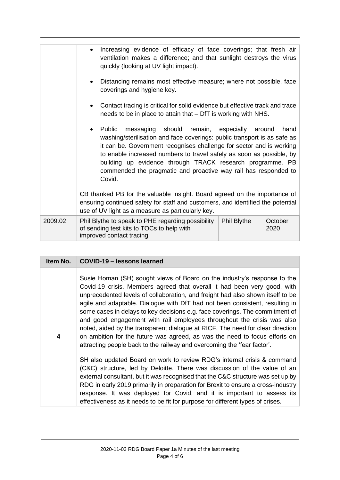|         | Increasing evidence of efficacy of face coverings; that fresh air<br>ventilation makes a difference; and that sunlight destroys the virus<br>quickly (looking at UV light impact).                                                                                                                                                                                                                                  |             |                 |
|---------|---------------------------------------------------------------------------------------------------------------------------------------------------------------------------------------------------------------------------------------------------------------------------------------------------------------------------------------------------------------------------------------------------------------------|-------------|-----------------|
|         | Distancing remains most effective measure; where not possible, face<br>coverings and hygiene key.                                                                                                                                                                                                                                                                                                                   |             |                 |
|         | Contact tracing is critical for solid evidence but effective track and trace<br>needs to be in place to attain that – DfT is working with NHS.                                                                                                                                                                                                                                                                      |             |                 |
|         | messaging should remain, especially<br>Public<br>washing/sterilisation and face coverings: public transport is as safe as<br>it can be. Government recognises challenge for sector and is working<br>to enable increased numbers to travel safely as soon as possible, by<br>building up evidence through TRACK research programme. PB<br>commended the pragmatic and proactive way rail has responded to<br>Covid. |             | hand<br>around  |
|         | CB thanked PB for the valuable insight. Board agreed on the importance of<br>ensuring continued safety for staff and customers, and identified the potential<br>use of UV light as a measure as particularly key.                                                                                                                                                                                                   |             |                 |
| 2009.02 | Phil Blythe to speak to PHE regarding possibility<br>of sending test kits to TOCs to help with<br>improved contact tracing                                                                                                                                                                                                                                                                                          | Phil Blythe | October<br>2020 |

| Item No. | COVID-19 - lessons learned                                                                                                                                                                                                                                                                                                                                                                                                                                                                                                                                                                                                                                                                                                  |
|----------|-----------------------------------------------------------------------------------------------------------------------------------------------------------------------------------------------------------------------------------------------------------------------------------------------------------------------------------------------------------------------------------------------------------------------------------------------------------------------------------------------------------------------------------------------------------------------------------------------------------------------------------------------------------------------------------------------------------------------------|
| 4        | Susie Homan (SH) sought views of Board on the industry's response to the<br>Covid-19 crisis. Members agreed that overall it had been very good, with<br>unprecedented levels of collaboration, and freight had also shown itself to be<br>agile and adaptable. Dialogue with DfT had not been consistent, resulting in<br>some cases in delays to key decisions e.g. face coverings. The commitment of<br>and good engagement with rail employees throughout the crisis was also<br>noted, aided by the transparent dialogue at RICF. The need for clear direction<br>on ambition for the future was agreed, as was the need to focus efforts on<br>attracting people back to the railway and overcoming the 'fear factor'. |
|          | SH also updated Board on work to review RDG's internal crisis & command<br>(C&C) structure, led by Deloitte. There was discussion of the value of an<br>external consultant, but it was recognised that the C&C structure was set up by<br>RDG in early 2019 primarily in preparation for Brexit to ensure a cross-industry<br>response. It was deployed for Covid, and it is important to assess its<br>effectiveness as it needs to be fit for purpose for different types of crises.                                                                                                                                                                                                                                     |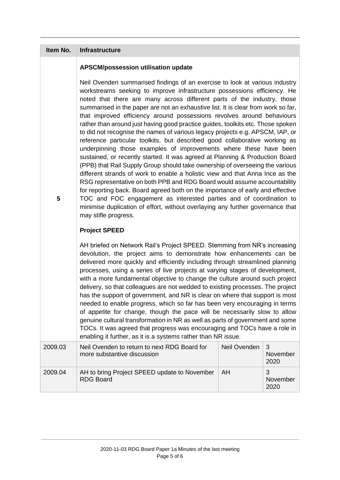| Item No.       | Infrastructure                                                                                                                                                                                                                                                                                                                                                                                                                                                                                                                                                                                                                                                                                                                                                                                                                                                                                                                                                                                                                                                                                                                                                                                                                                                                                                                                   |              |                       |
|----------------|--------------------------------------------------------------------------------------------------------------------------------------------------------------------------------------------------------------------------------------------------------------------------------------------------------------------------------------------------------------------------------------------------------------------------------------------------------------------------------------------------------------------------------------------------------------------------------------------------------------------------------------------------------------------------------------------------------------------------------------------------------------------------------------------------------------------------------------------------------------------------------------------------------------------------------------------------------------------------------------------------------------------------------------------------------------------------------------------------------------------------------------------------------------------------------------------------------------------------------------------------------------------------------------------------------------------------------------------------|--------------|-----------------------|
|                | APSCM/possession utilisation update                                                                                                                                                                                                                                                                                                                                                                                                                                                                                                                                                                                                                                                                                                                                                                                                                                                                                                                                                                                                                                                                                                                                                                                                                                                                                                              |              |                       |
| $5\phantom{1}$ | Neil Ovenden summarised findings of an exercise to look at various industry<br>workstreams seeking to improve infrastructure possessions efficiency. He<br>noted that there are many across different parts of the industry, those<br>summarised in the paper are not an exhaustive list. It is clear from work so far,<br>that improved efficiency around possessions revolves around behaviours<br>rather than around just having good practice guides, toolkits etc. Those spoken<br>to did not recognise the names of various legacy projects e.g. APSCM, IAP, or<br>reference particular toolkits, but described good collaborative working as<br>underpinning those examples of improvements where these have been<br>sustained, or recently started. It was agreed at Planning & Production Board<br>(PPB) that Rail Supply Group should take ownership of overseeing the various<br>different strands of work to enable a holistic view and that Anna Ince as the<br>RSG representative on both PPB and RDG Board would assume accountability<br>for reporting back. Board agreed both on the importance of early and effective<br>TOC and FOC engagement as interested parties and of coordination to<br>minimise duplication of effort, without overlaying any further governance that<br>may stifle progress.<br><b>Project SPEED</b> |              |                       |
|                | AH briefed on Network Rail's Project SPEED. Stemming from NR's increasing<br>devolution, the project aims to demonstrate how enhancements can be<br>delivered more quickly and efficiently including through streamlined planning<br>processes, using a series of live projects at varying stages of development,<br>with a more fundamental objective to change the culture around such project<br>delivery, so that colleagues are not wedded to existing processes. The project<br>has the support of government, and NR is clear on where that support is most<br>needed to enable progress, which so far has been very encouraging in terms<br>of appetite for change, though the pace will be necessarily slow to allow<br>genuine cultural transformation in NR as well as parts of government and some<br>TOCs. It was agreed that progress was encouraging and TOCs have a role in<br>enabling it further, as it is a systems rather than NR issue.                                                                                                                                                                                                                                                                                                                                                                                     |              |                       |
| 2009.03        | Neil Ovenden to return to next RDG Board for                                                                                                                                                                                                                                                                                                                                                                                                                                                                                                                                                                                                                                                                                                                                                                                                                                                                                                                                                                                                                                                                                                                                                                                                                                                                                                     | Neil Ovenden | 3                     |
|                | more substantive discussion                                                                                                                                                                                                                                                                                                                                                                                                                                                                                                                                                                                                                                                                                                                                                                                                                                                                                                                                                                                                                                                                                                                                                                                                                                                                                                                      |              | November<br>2020      |
| 2009.04        | AH to bring Project SPEED update to November<br><b>RDG Board</b>                                                                                                                                                                                                                                                                                                                                                                                                                                                                                                                                                                                                                                                                                                                                                                                                                                                                                                                                                                                                                                                                                                                                                                                                                                                                                 | AH           | 3<br>November<br>2020 |